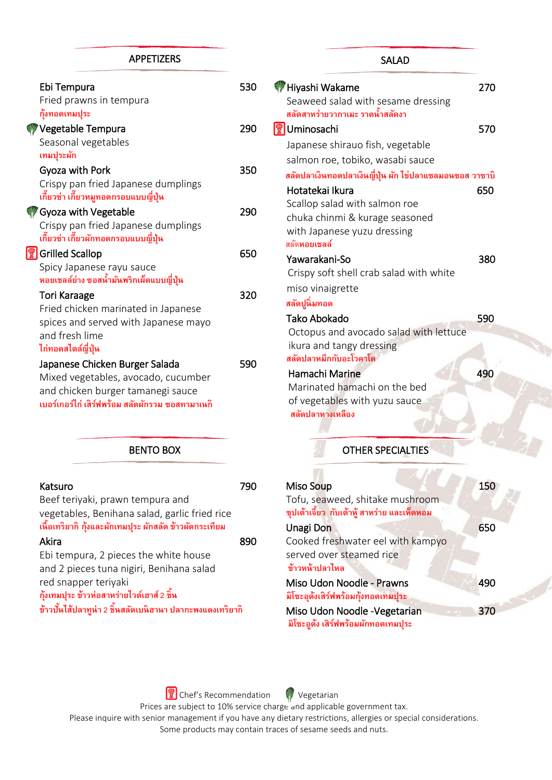#### APPETIZERS

| Ebi Tempura                                            | 530 |
|--------------------------------------------------------|-----|
| Fried prawns in tempura                                |     |
| กุ้งทอดเทมปุระ                                         |     |
| Vegetable Tempura                                      | 290 |
| Seasonal vegetables                                    |     |
| เทมปูระผัก                                             |     |
| Gyoza with Pork                                        | 350 |
| Crispy pan fried Japanese dumplings                    |     |
| เกี๊ยวซ่า เกี๊ยวหมูทอดกรอบแบบญี่ปุ่น                   |     |
| <b>Gyoza with Vegetable</b>                            | 290 |
| Crispy pan fried Japanese dumplings                    |     |
| เกี๊ยวซ่า เกี๊ยวผักทอดกรอบแบบญี่ปุ่น                   |     |
| <b>Grilled Scallop</b>                                 | 650 |
| Spicy Japanese rayu sauce                              |     |
| หอยเชลล์ย่าง ซอสน้ำมันพริกเผ็ดแบบญี่ปุ่น               |     |
| Tori Karaage                                           | 320 |
| Fried chicken marinated in Japanese                    |     |
|                                                        |     |
| spices and served with Japanese mayo<br>and fresh lime |     |
|                                                        |     |
| ไก่ทอดสไตล์ญี่ปุ่น                                     |     |
| Japanese Chicken Burger Salada                         | 590 |
| Mixed vegetables, avocado, cucumber                    |     |
| and chicken burger tamanegi sauce                      |     |
| เบอร์เกอร์ไก่ เสิร์ฟพร้อม สลัดผักรวม ซอสทามาเนกิ       |     |

#### BENTO BOX

| Katsuro<br>Beef teriyaki, prawn tempura and<br>vegetables, Benihana salad, garlic fried rice<br>เนื้อเทริยากิ กุ้งและผักเทมปุระ ผักสลัด ข้าวผัดกระเทียม                                                              |     |
|----------------------------------------------------------------------------------------------------------------------------------------------------------------------------------------------------------------------|-----|
| Akira                                                                                                                                                                                                                | 890 |
| Ebi tempura, 2 pieces the white house<br>and 2 pieces tuna nigiri, Benihana salad<br>red snapper teriyaki<br>กุ้งเทมปุระ ข้าวห่อสาหร่ายไวต์เฮาส์ 2 ชิ้น<br>ข้าวบั้นไส้ปลาทูน่า 2 ชิ้นสลัดเบนิฮานา ปลากะพงแดงเทริยากิ |     |

# Hiyashi Wakame 270 Seaweed salad with sesame dressing **สลดัสาหร่ายวากาเมะราดน ้าสลัดงา** <u>像</u>Uminosachi 570 Japanese shirauo fish, vegetable salmon roe, tobiko, wasabi sauce **สลดัปลาเงินทอดปลาเงินญี่ป่นุ ผัก ไข่ปลาแซลมอนซอส วาซาบิ** Hotatekai Ikura 650 Scallop salad with salmon roe chuka chinmi & kurage seasoned with Japanese yuzu dressing สลัด**หอยเชลล์** Yawarakani-So 380 Crispy soft shell crab salad with white miso vinaigrette **สลดัปนูิ่มทอด** Tako Abokado 590 Octopus and avocado salad with lettuce ikura and tangy dressing  **สลัดปลาหมึกกับอะโวคาโด** Hamachi Marine 490 Marinated hamachi on the bed of vegetables with yuzu sauce **สลัดปลาหางเหลือง** j SALAD

### OTHER SPECIALTIES

| Miso Soup                                                                       | 150 |
|---------------------------------------------------------------------------------|-----|
| Tofu, seaweed, shitake mushroom<br>ซุปเต้าเจี้ยว  กับเต้าหู้ สาหร่าย และเห็ดหอม |     |
| Unagi Don                                                                       | 650 |
| Cooked freshwater eel with kampyo                                               |     |
| served over steamed rice<br>ข้าวหน้าปลาไหล                                      |     |
| Miso Udon Noodle - Prawns<br>มิโซะอุดังเสิร์ฟพร้อมกุ้งทอดเทมปุระ                | 490 |
| Miso Udon Noodle - Vegetarian<br>มิโซะอดัง เสิร์ฟพร้อมผักทอดเทมปุระ             | 370 |

**The Chef's Recommendation** Vegetarian Prices are subject to 10% service charge and applicable government tax. Please inquire with senior management if you have any dietary restrictions, allergies or special considerations. Some products may contain traces of sesame seeds and nuts.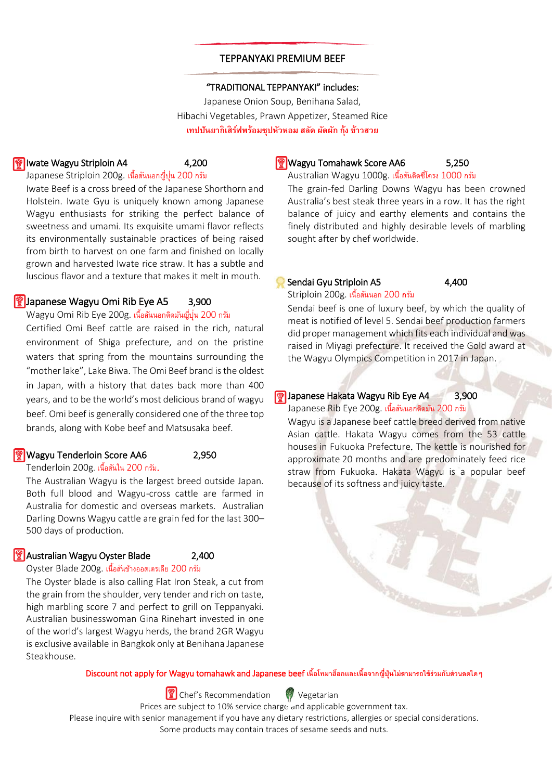#### TEPPANYAKI PREMIUM BEEF

ì

#### "TRADITIONAL TEPPANYAKI" includes:

Japanese Onion Soup, Benihana Salad, Hibachi Vegetables, Prawn Appetizer, Steamed Rice **เทปปันยากิเสิรฟ์ พร้อมซุปหวัหอม สลดั ผัดผัก กุ้ง ข้าวสวย**

#### Iwate Wagyu Striploin A4 4,200

Japanese Striploin 200g. เน้ือสนันอกญ่ปีุน่ 200 กรัม

Iwate Beef is a cross breed of the Japanese Shorthorn and Holstein. Iwate Gyu is uniquely known among Japanese Wagyu enthusiasts for striking the perfect balance of sweetness and umami. Its exquisite umami flavor reflects its environmentally sustainable practices of being raised from birth to harvest on one farm and finished on locally grown and harvested Iwate rice straw. It has a subtle and luscious flavor and a texture that makes it melt in mouth.

#### **Formula** Japanese Wagyu Omi Rib Eye A5 3,900

Wagyu Omi Rib Eye 200g. เนื้อสันนอกตดิมนัญป่ีุน่ 200 กรัม Certified Omi Beef cattle are raised in the rich, natural environment of Shiga prefecture, and on the pristine waters that spring from the mountains surrounding the "mother lake", Lake Biwa. The Omi Beef brand is the oldest in Japan, with a history that dates back more than 400 years, and to be the world's most delicious brand of wagyu beef. Omi beef is generally considered one of the three top brands, along with Kobe beef and Matsusaka beef.

#### **Wagyu Tenderloin Score AA6** 2,950

Tenderloin 200g. เนื้อสันใน 200 กรัม.

The Australian Wagyu is the largest breed outside Japan. Both full blood and Wagyu-cross cattle are farmed in Australia for domestic and overseas markets. Australian Darling Downs Wagyu cattle are grain fed for the last 300– 500 days of production.

#### **|| ② Australian Wagyu Oyster Blade** 2,400

# Oyster Blade 200g. เนื้อสันข้างออสเตรเลีย 200 กรัม

The Oyster blade is also calling Flat Iron Steak, a cut from the grain from the shoulder, very tender and rich on taste, high marbling score 7 and perfect to grill on Teppanyaki. Australian businesswoman Gina Rinehart invested in one of the world's largest Wagyu herds, the brand 2GR Wagyu is exclusive available in Bangkok only at Benihana Japanese Steakhouse.

## **|| Wagyu Tomahawk Score AA6** 5,250

Australian Wagyu 1000g. เนื้อสันติดซี่โครง 1000 กรัม

The grain-fed Darling Downs Wagyu has been crowned Australia's best steak three years in a row. It has the right balance of juicy and earthy elements and contains the finely distributed and highly desirable levels of marbling sought after by chef worldwide.

#### Sendai Gyu Striploin A5 4,400

Striploin 200g. เนื้อสันนอก 200 **ก**รัม

Sendai beef is one of luxury beef, by which the quality of meat is notified of level 5. Sendai beef production farmers did proper management which fits each individual and was raised in Miyagi prefecture. It received the Gold award at the Wagyu Olympics Competition in 2017 in Japan.

#### **Formula** Japanese Hakata Wagyu Rib Eye A4 3,900

Japanese Rib Eye 200g. เนื้อสันนอกติดมัน 200 กรัม

 Wagyu is a Japanese beef cattle breed derived from native Asian cattle. Hakata Wagyu comes from the 53 cattle houses in Fukuoka Prefecture*.* The kettle is nourished for approximate 20 months and are predominately feed rice straw from Fukuoka. Hakata Wagyu is a popular beef because of its softness and juicy taste.



Discount not apply for Wagyu tomahawk and Japanese beef **เนื้อโทมาฮ็อกเเละเนื้อจากญี่ปุ่ นไม่สามารถใช้ร่วมกับส่วนลดใดๆ**

 $\left|\frac{\mathcal{C}}{\mathcal{C}}\right|$  Chef's Recommendation  $\left|\frac{\mathcal{C}}{\mathcal{C}}\right|$  Vegetarian

Prices are subject to 10% service charge and applicable government tax.

Please inquire with senior management if you have any dietary restrictions, allergies or special considerations. Some products may contain traces of sesame seeds and nuts.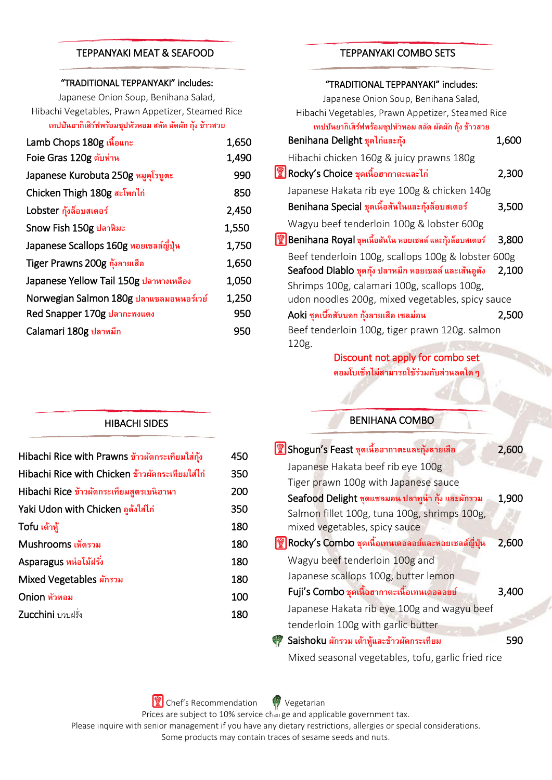#### TEPPANYAKI MEAT & SEAFOOD

#### "TRADITIONAL TEPPANYAKI" includes:

Japanese Onion Soup, Benihana Salad, Hibachi Vegetables, Prawn Appetizer, Steamed Rice **เทปปันยากิเสิรฟ์ พรอ้ มซปุ หวัหอม สลดั ผัดผัก กุ้ง ข้าวสวย**

| 1,650 |
|-------|
| 1,490 |
| 990   |
| 850   |
| 2,450 |
| 1,550 |
| 1,750 |
| 1,650 |
| 1,050 |
| 1,250 |
| 950   |
| 950   |
|       |

# TEPPANYAKI COMBO SETS

#### "TRADITIONAL TEPPANYAKI" includes:

| Japanese Onion Soup, Benihana Salad,                    |       |
|---------------------------------------------------------|-------|
| Hibachi Vegetables, Prawn Appetizer, Steamed Rice       |       |
| เทปปันยากิเสิร์ฟพร้อมซุปหัวหอม สลัด ผัดผัก กุ้ง ข้าวสวย |       |
| Benihana Delight ชุดไก่และกุ้ง                          | 1,600 |
| Hibachi chicken 160g & juicy prawns 180g                |       |
| Rocky's Choice ชุดเนื้อฮากาตะและไก่                     | 2,300 |
| Japanese Hakata rib eye 100g & chicken 140g             |       |
| Benihana Special ชุดเนื้อสันในและกุ้งล็อบสเตอร์         | 3,500 |
| Wagyu beef tenderloin 100g & lobster 600g               |       |
| Benihana Royal ชุดเนื้อสันใน หอยเชลล์ และกุ้งล็อบสเตอร์ | 3,800 |
| Beef tenderloin 100g, scallops 100g & lobster 600g      |       |
| Seafood Diablo ชุดกุ้ง ปลาหมึก หอยเชลล์ และเส้นอูดัง    | 2,100 |
| Shrimps 100g, calamari 100g, scallops 100g,             |       |
| udon noodles 200g, mixed vegetables, spicy sauce        |       |
| Aoki ชุดเนื้อสันนอก กุ้งลายเสือ เซลม่อน                 | 2,500 |
| Beef tenderloin 100g, tiger prawn 120g. salmon          |       |
| 120g.                                                   |       |

Discount not apply for combo set **คอมโบเซท็ไม่สามารถใช้ร่วมกบัส่วนลดใดๆ**

# BENIHANA COMBO

| <b>ซึ</b> ่ Shogun's Feast ชุดเนื้อฮากาตะและกุ้งลายเสือ                       | 2,600 |
|-------------------------------------------------------------------------------|-------|
| Japanese Hakata beef rib eye 100g                                             |       |
| Tiger prawn 100g with Japanese sauce                                          |       |
| Seafood Delight ชุดแซลมอน ปลาทูน่า กุ้ง และผักรวม                             | 1,900 |
| Salmon fillet 100g, tuna 100g, shrimps 100g,<br>mixed vegetables, spicy sauce |       |
| Rocky's Combo ชุดเนื้อเทนเดอลอย์และหอยเชลล์ญี่ปุ่น                            | 2,600 |
| Wagyu beef tenderloin 100g and                                                |       |
| Japanese scallops 100g, butter lemon                                          |       |
| Fuji's Combo ชุดเนื้อฮากาตะเนื้อเทนเดอลอยย์                                   | 3,400 |
| Japanese Hakata rib eye 100g and wagyu beef                                   |       |
| tenderloin 100g with garlic butter                                            |       |
| Saishoku ผักรวม เต้าหู้และข้าวผัดกระเทียม                                     | 590   |
| Mixed seasonal vegetables, tofu, garlic fried rice                            |       |

HIBACHI SIDES

| Hibachi Rice with Prawns ข้าวผัดกระเทียมใส่กุ้ง | 450 |
|-------------------------------------------------|-----|
| Hibachi Rice with Chicken ข้าวผัดกระเทียมใส่ไก่ | 350 |
| Hibachi Rice ข้าวผัดกระเทียมสตรเบนิฮานา         | 200 |
| Yaki Udon with Chicken อูดังใส่ไก่              | 350 |
| Tofu เต้าหู้                                    | 180 |
| Mushrooms เห็ดรวม                               | 180 |
| Asparagus หน่อไม้ฝรั่ง                          | 180 |
| Mixed Vegetables ผักรวม                         | 180 |
| Onion หัวหอม                                    | 100 |
| Zucchini บวบฝรั่ง                               | 180 |